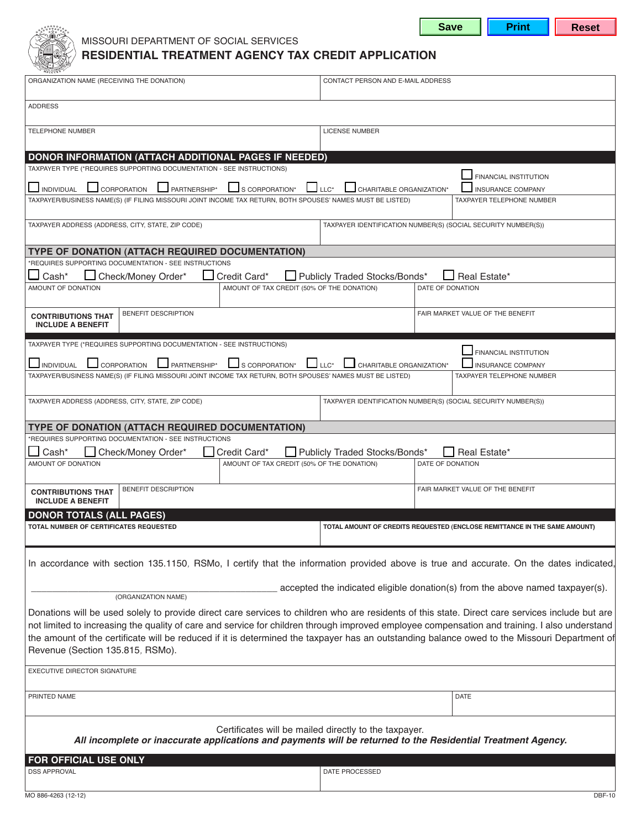



## missouri department of social services **RESIDENTIAL TREATMENT AGENCY TAX CREDIT APPLICATION**

| ORGANIZATION NAME (RECEIVING THE DONATION)                                                                                                                                                                                                                                                                                                                                                                                                                                           | CONTACT PERSON AND E-MAIL ADDRESS                             |                                                                               |  |  |
|--------------------------------------------------------------------------------------------------------------------------------------------------------------------------------------------------------------------------------------------------------------------------------------------------------------------------------------------------------------------------------------------------------------------------------------------------------------------------------------|---------------------------------------------------------------|-------------------------------------------------------------------------------|--|--|
| <b>ADDRESS</b>                                                                                                                                                                                                                                                                                                                                                                                                                                                                       |                                                               |                                                                               |  |  |
| <b>TELEPHONE NUMBER</b>                                                                                                                                                                                                                                                                                                                                                                                                                                                              | <b>LICENSE NUMBER</b>                                         |                                                                               |  |  |
| DONOR INFORMATION (ATTACH ADDITIONAL PAGES IF NEEDED)                                                                                                                                                                                                                                                                                                                                                                                                                                |                                                               |                                                                               |  |  |
| TAXPAYER TYPE (*REQUIRES SUPPORTING DOCUMENTATION - SEE INSTRUCTIONS)                                                                                                                                                                                                                                                                                                                                                                                                                |                                                               | FINANCIAL INSTITUTION                                                         |  |  |
| PARTNERSHIP*<br>S CORPORATION*<br>CORPORATION<br>$\Box$ INDIVIDUAL                                                                                                                                                                                                                                                                                                                                                                                                                   | $\Box$ LLC*<br>CHARITABLE ORGANIZATION*                       | <b>INSURANCE COMPANY</b>                                                      |  |  |
| TAXPAYER/BUSINESS NAME(S) (IF FILING MISSOURI JOINT INCOME TAX RETURN, BOTH SPOUSES' NAMES MUST BE LISTED)                                                                                                                                                                                                                                                                                                                                                                           |                                                               | TAXPAYER TELEPHONE NUMBER                                                     |  |  |
| TAXPAYER ADDRESS (ADDRESS, CITY, STATE, ZIP CODE)                                                                                                                                                                                                                                                                                                                                                                                                                                    | TAXPAYER IDENTIFICATION NUMBER(S) (SOCIAL SECURITY NUMBER(S)) |                                                                               |  |  |
| TYPE OF DONATION (ATTACH REQUIRED DOCUMENTATION)                                                                                                                                                                                                                                                                                                                                                                                                                                     |                                                               |                                                                               |  |  |
| *REQUIRES SUPPORTING DOCUMENTATION - SEE INSTRUCTIONS<br>Cash*<br>Check/Money Order*<br>Credit Card*                                                                                                                                                                                                                                                                                                                                                                                 | Publicly Traded Stocks/Bonds*                                 | Real Estate*                                                                  |  |  |
| AMOUNT OF TAX CREDIT (50% OF THE DONATION)<br>AMOUNT OF DONATION                                                                                                                                                                                                                                                                                                                                                                                                                     |                                                               | DATE OF DONATION                                                              |  |  |
| <b>BENEFIT DESCRIPTION</b><br><b>CONTRIBUTIONS THAT</b><br><b>INCLUDE A BENEFIT</b>                                                                                                                                                                                                                                                                                                                                                                                                  |                                                               | FAIR MARKET VALUE OF THE BENEFIT                                              |  |  |
| TAXPAYER TYPE (*REQUIRES SUPPORTING DOCUMENTATION - SEE INSTRUCTIONS)                                                                                                                                                                                                                                                                                                                                                                                                                |                                                               | FINANCIAL INSTITUTION                                                         |  |  |
| CORPORATION<br>PARTNERSHIP*<br>S CORPORATION*<br>INDIVIDUAL                                                                                                                                                                                                                                                                                                                                                                                                                          | $\mathsf{LLC}^\star$<br>CHARITABLE ORGANIZATION*              | <b>INSURANCE COMPANY</b>                                                      |  |  |
| TAXPAYER/BUSINESS NAME(S) (IF FILING MISSOURI JOINT INCOME TAX RETURN, BOTH SPOUSES' NAMES MUST BE LISTED)                                                                                                                                                                                                                                                                                                                                                                           |                                                               | <b>TAXPAYER TELEPHONE NUMBER</b>                                              |  |  |
| TAXPAYER ADDRESS (ADDRESS, CITY, STATE, ZIP CODE)                                                                                                                                                                                                                                                                                                                                                                                                                                    |                                                               | TAXPAYER IDENTIFICATION NUMBER(S) (SOCIAL SECURITY NUMBER(S))                 |  |  |
| TYPE OF DONATION (ATTACH REQUIRED DOCUMENTATION)                                                                                                                                                                                                                                                                                                                                                                                                                                     |                                                               |                                                                               |  |  |
| *REQUIRES SUPPORTING DOCUMENTATION - SEE INSTRUCTIONS<br>Check/Money Order*<br>Cash*<br>Credit Card*                                                                                                                                                                                                                                                                                                                                                                                 | Publicly Traded Stocks/Bonds*                                 | Real Estate*                                                                  |  |  |
| AMOUNT OF DONATION<br>AMOUNT OF TAX CREDIT (50% OF THE DONATION)                                                                                                                                                                                                                                                                                                                                                                                                                     |                                                               | DATE OF DONATION                                                              |  |  |
| <b>BENEFIT DESCRIPTION</b><br><b>CONTRIBUTIONS THAT</b><br><b>INCLUDE A BENEFIT</b>                                                                                                                                                                                                                                                                                                                                                                                                  |                                                               | FAIR MARKET VALUE OF THE BENEFIT                                              |  |  |
| <b>DONOR TOTALS (ALL PAGES)</b>                                                                                                                                                                                                                                                                                                                                                                                                                                                      |                                                               |                                                                               |  |  |
| TOTAL NUMBER OF CERTIFICATES REQUESTED                                                                                                                                                                                                                                                                                                                                                                                                                                               |                                                               | TOTAL AMOUNT OF CREDITS REQUESTED (ENCLOSE REMITTANCE IN THE SAME AMOUNT)     |  |  |
| In accordance with section 135.1150, RSMo, I certify that the information provided above is true and accurate. On the dates indicated,                                                                                                                                                                                                                                                                                                                                               |                                                               |                                                                               |  |  |
|                                                                                                                                                                                                                                                                                                                                                                                                                                                                                      |                                                               | accepted the indicated eligible donation(s) from the above named taxpayer(s). |  |  |
| (ORGANIZATION NAME)                                                                                                                                                                                                                                                                                                                                                                                                                                                                  |                                                               |                                                                               |  |  |
| Donations will be used solely to provide direct care services to children who are residents of this state. Direct care services include but are<br>not limited to increasing the quality of care and service for children through improved employee compensation and training. I also understand<br>the amount of the certificate will be reduced if it is determined the taxpayer has an outstanding balance owed to the Missouri Department of<br>Revenue (Section 135.815, RSMo). |                                                               |                                                                               |  |  |
| EXECUTIVE DIRECTOR SIGNATURE                                                                                                                                                                                                                                                                                                                                                                                                                                                         |                                                               |                                                                               |  |  |
|                                                                                                                                                                                                                                                                                                                                                                                                                                                                                      |                                                               |                                                                               |  |  |
| PRINTED NAME                                                                                                                                                                                                                                                                                                                                                                                                                                                                         |                                                               | <b>DATE</b>                                                                   |  |  |
| Certificates will be mailed directly to the taxpayer.<br>All incomplete or inaccurate applications and payments will be returned to the Residential Treatment Agency.                                                                                                                                                                                                                                                                                                                |                                                               |                                                                               |  |  |
| FOR OFFICIAL USE ONLY                                                                                                                                                                                                                                                                                                                                                                                                                                                                |                                                               |                                                                               |  |  |
| <b>DSS APPROVAL</b>                                                                                                                                                                                                                                                                                                                                                                                                                                                                  | DATE PROCESSED                                                |                                                                               |  |  |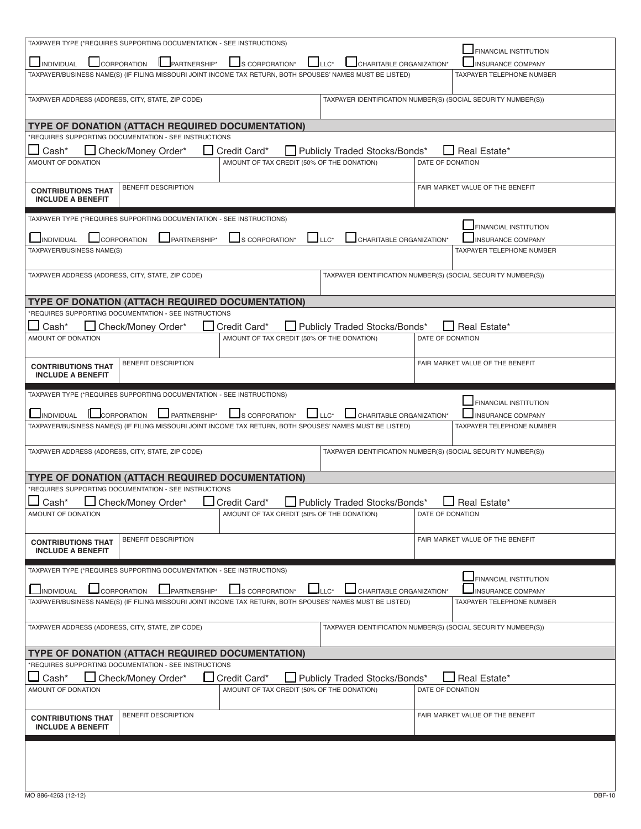| TAXPAYER TYPE (*REQUIRES SUPPORTING DOCUMENTATION - SEE INSTRUCTIONS)                                                                                                        |                                                               |  |  |  |
|------------------------------------------------------------------------------------------------------------------------------------------------------------------------------|---------------------------------------------------------------|--|--|--|
| FINANCIAL INSTITUTION<br>$\Box$ LLC*<br>PARTNERSHIP*<br><b>L</b> CORPORATION<br>S CORPORATION*<br>CHARITABLE ORGANIZATION*<br><b>JINDIVIDUAL</b><br><b>INSURANCE COMPANY</b> |                                                               |  |  |  |
| TAXPAYER/BUSINESS NAME(S) (IF FILING MISSOURI JOINT INCOME TAX RETURN, BOTH SPOUSES' NAMES MUST BE LISTED)                                                                   | TAXPAYER TELEPHONE NUMBER                                     |  |  |  |
|                                                                                                                                                                              |                                                               |  |  |  |
| TAXPAYER ADDRESS (ADDRESS, CITY, STATE, ZIP CODE)                                                                                                                            | TAXPAYER IDENTIFICATION NUMBER(S) (SOCIAL SECURITY NUMBER(S)) |  |  |  |
|                                                                                                                                                                              |                                                               |  |  |  |
| TYPE OF DONATION (ATTACH REQUIRED DOCUMENTATION)<br>*REQUIRES SUPPORTING DOCUMENTATION - SEE INSTRUCTIONS                                                                    |                                                               |  |  |  |
| Cash*<br>Check/Money Order*<br>Credit Card*<br>Publicly Traded Stocks/Bonds*                                                                                                 | Real Estate*                                                  |  |  |  |
| AMOUNT OF TAX CREDIT (50% OF THE DONATION)<br>AMOUNT OF DONATION                                                                                                             | DATE OF DONATION                                              |  |  |  |
|                                                                                                                                                                              |                                                               |  |  |  |
| <b>BENEFIT DESCRIPTION</b><br><b>CONTRIBUTIONS THAT</b><br><b>INCLUDE A BENEFIT</b>                                                                                          | FAIR MARKET VALUE OF THE BENEFIT                              |  |  |  |
|                                                                                                                                                                              |                                                               |  |  |  |
| TAXPAYER TYPE (*REQUIRES SUPPORTING DOCUMENTATION - SEE INSTRUCTIONS)                                                                                                        | FINANCIAL INSTITUTION                                         |  |  |  |
| PARTNERSHIP*<br>CORPORATION<br>$LLC^*$<br>INDIVIDUAL<br>S CORPORATION*<br>CHARITABLE ORGANIZATION*                                                                           | INSURANCE COMPANY                                             |  |  |  |
| TAXPAYER/BUSINESS NAME(S)                                                                                                                                                    | <b>TAXPAYER TELEPHONE NUMBER</b>                              |  |  |  |
| TAXPAYER ADDRESS (ADDRESS, CITY, STATE, ZIP CODE)                                                                                                                            | TAXPAYER IDENTIFICATION NUMBER(S) (SOCIAL SECURITY NUMBER(S)) |  |  |  |
|                                                                                                                                                                              |                                                               |  |  |  |
| <b>TYPE OF DONATION (ATTACH REQUIRED DOCUMENTATION)</b>                                                                                                                      |                                                               |  |  |  |
| *REQUIRES SUPPORTING DOCUMENTATION - SEE INSTRUCTIONS                                                                                                                        |                                                               |  |  |  |
| Cash*<br>Check/Money Order*<br>Credit Card*<br>Publicly Traded Stocks/Bonds*<br>AMOUNT OF TAX CREDIT (50% OF THE DONATION)<br>AMOUNT OF DONATION                             | Real Estate*<br>DATE OF DONATION                              |  |  |  |
|                                                                                                                                                                              |                                                               |  |  |  |
| BENEFIT DESCRIPTION<br><b>CONTRIBUTIONS THAT</b>                                                                                                                             | FAIR MARKET VALUE OF THE BENEFIT                              |  |  |  |
| <b>INCLUDE A BENEFIT</b>                                                                                                                                                     |                                                               |  |  |  |
| TAXPAYER TYPE (*REQUIRES SUPPORTING DOCUMENTATION - SEE INSTRUCTIONS)                                                                                                        |                                                               |  |  |  |
| $L_{L}$ LLC*<br>CHARITABLE ORGANIZATION*                                                                                                                                     | FINANCIAL INSTITUTION                                         |  |  |  |
| CORPORATION<br>PARTNERSHIP*<br>S CORPORATION*<br>INDIVIDUAL<br>TAXPAYER/BUSINESS NAME(S) (IF FILING MISSOURI JOINT INCOME TAX RETURN, BOTH SPOUSES' NAMES MUST BE LISTED)    | INSURANCE COMPANY<br>TAXPAYER TELEPHONE NUMBER                |  |  |  |
|                                                                                                                                                                              |                                                               |  |  |  |
| TAXPAYER ADDRESS (ADDRESS, CITY, STATE, ZIP CODE)                                                                                                                            | TAXPAYER IDENTIFICATION NUMBER(S) (SOCIAL SECURITY NUMBER(S)) |  |  |  |
|                                                                                                                                                                              |                                                               |  |  |  |
| <b>TYPE OF DONATION (ATTACH REQUIRED DOCUMENTATION)</b><br>*REQUIRES SUPPORTING DOCUMENTATION - SEE INSTRUCTIONS                                                             |                                                               |  |  |  |
| Check/Money Order*<br>Cash*<br>Credit Card*<br>Publicly Traded Stocks/Bonds*                                                                                                 | Real Estate*                                                  |  |  |  |
| AMOUNT OF DONATION<br>AMOUNT OF TAX CREDIT (50% OF THE DONATION)                                                                                                             | DATE OF DONATION                                              |  |  |  |
|                                                                                                                                                                              |                                                               |  |  |  |
| <b>BENEFIT DESCRIPTION</b><br><b>CONTRIBUTIONS THAT</b><br><b>INCLUDE A BENEFIT</b>                                                                                          | FAIR MARKET VALUE OF THE BENEFIT                              |  |  |  |
|                                                                                                                                                                              |                                                               |  |  |  |
| TAXPAYER TYPE (*REQUIRES SUPPORTING DOCUMENTATION - SEE INSTRUCTIONS)                                                                                                        | <b>FINANCIAL INSTITUTION</b>                                  |  |  |  |
| CHARITABLE ORGANIZATION*<br><b>INDIVIDUAL</b><br>CORPORATION<br>PARTNERSHIP*<br>S CORPORATION*<br>$\sqcup$ LLC*                                                              | <b>INSURANCE COMPANY</b>                                      |  |  |  |
|                                                                                                                                                                              |                                                               |  |  |  |
| TAXPAYER/BUSINESS NAME(S) (IF FILING MISSOURI JOINT INCOME TAX RETURN, BOTH SPOUSES' NAMES MUST BE LISTED)                                                                   | TAXPAYER TELEPHONE NUMBER                                     |  |  |  |
|                                                                                                                                                                              |                                                               |  |  |  |
| TAXPAYER ADDRESS (ADDRESS, CITY, STATE, ZIP CODE)                                                                                                                            | TAXPAYER IDENTIFICATION NUMBER(S) (SOCIAL SECURITY NUMBER(S)) |  |  |  |
| TYPE OF DONATION (ATTACH REQUIRED DOCUMENTATION)                                                                                                                             |                                                               |  |  |  |
| *REQUIRES SUPPORTING DOCUMENTATION - SEE INSTRUCTIONS                                                                                                                        |                                                               |  |  |  |
| Credit Card*<br>$\Box$ Cash*<br>Check/Money Order*<br>Publicly Traded Stocks/Bonds*                                                                                          | Real Estate*                                                  |  |  |  |
| AMOUNT OF DONATION<br>AMOUNT OF TAX CREDIT (50% OF THE DONATION)                                                                                                             | DATE OF DONATION                                              |  |  |  |
| BENEFIT DESCRIPTION                                                                                                                                                          | FAIR MARKET VALUE OF THE BENEFIT                              |  |  |  |
| <b>CONTRIBUTIONS THAT</b><br><b>INCLUDE A BENEFIT</b>                                                                                                                        |                                                               |  |  |  |
|                                                                                                                                                                              |                                                               |  |  |  |
|                                                                                                                                                                              |                                                               |  |  |  |
|                                                                                                                                                                              |                                                               |  |  |  |
| MO 886-4263 (12-12)                                                                                                                                                          | <b>DBF-10</b>                                                 |  |  |  |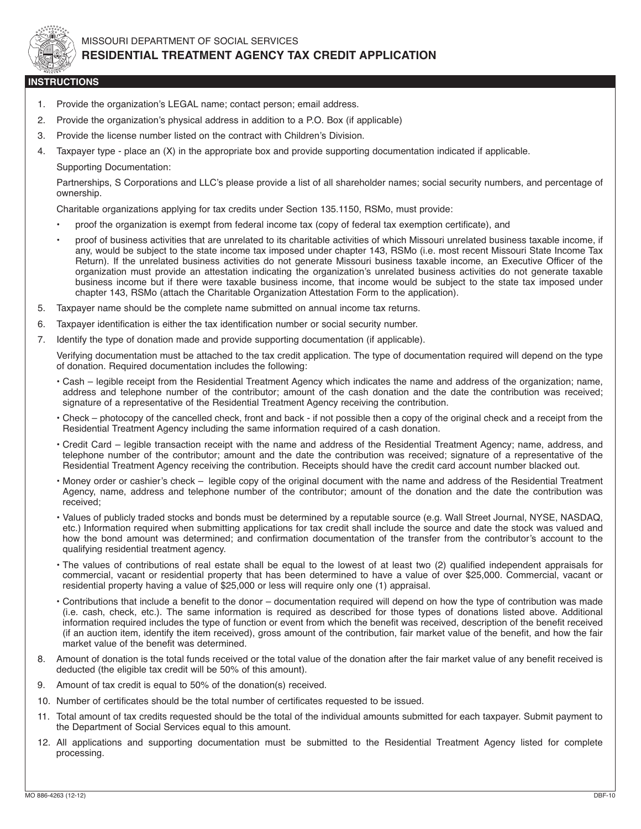

## missouri department of social services **RESIDENTIAL TREATMENT AGENCY TAX CREDIT APPLICATION**

## **INSTRUCTIONS**

- 1. Provide the organization's LEGAL name; contact person; email address.
- 2. Provide the organization's physical address in addition to a P.O. Box (if applicable)
- 3. Provide the license number listed on the contract with Children's Division.
- 4. Taxpayer type place an (X) in the appropriate box and provide supporting documentation indicated if applicable.
	- Supporting Documentation:

Partnerships, S Corporations and LLC's please provide a list of all shareholder names; social security numbers, and percentage of ownership.

Charitable organizations applying for tax credits under Section 135.1150, RSMo, must provide:

- proof the organization is exempt from federal income tax (copy of federal tax exemption certificate), and
- proof of business activities that are unrelated to its charitable activities of which missouri unrelated business taxable income, if any, would be subject to the state income tax imposed under chapter 143, RSMo (i.e. most recent Missouri State Income Tax Return). If the unrelated business activities do not generate Missouri business taxable income, an Executive Officer of the organization must provide an attestation indicating the organization's unrelated business activities do not generate taxable business income but if there were taxable business income, that income would be subject to the state tax imposed under chapter 143, RSMo (attach the Charitable Organization Attestation Form to the application).
- 5. taxpayer name should be the complete name submitted on annual income tax returns.
- 6. Taxpayer identification is either the tax identification number or social security number.
- 7. identify the type of donation made and provide supporting documentation (if applicable).

verifying documentation must be attached to the tax credit application. the type of documentation required will depend on the type of donation. Required documentation includes the following:

- Cash legible receipt from the Residential Treatment Agency which indicates the name and address of the organization; name, address and telephone number of the contributor; amount of the cash donation and the date the contribution was received; signature of a representative of the Residential Treatment Agency receiving the contribution.
- check photocopy of the cancelled check, front and back if not possible then a copy of the original check and a receipt from the Residential Treatment Agency including the same information required of a cash donation.
- Credit Card legible transaction receipt with the name and address of the Residential Treatment Agency; name, address, and telephone number of the contributor; amount and the date the contribution was received; signature of a representative of the Residential Treatment Agency receiving the contribution. Receipts should have the credit card account number blacked out.
- Money order or cashier's check legible copy of the original document with the name and address of the Residential Treatment agency, name, address and telephone number of the contributor; amount of the donation and the date the contribution was received;
- Values of publicly traded stocks and bonds must be determined by a reputable source (e.g. Wall Street Journal, NYSE, NASDAQ, etc.) Information required when submitting applications for tax credit shall include the source and date the stock was valued and how the bond amount was determined; and confirmation documentation of the transfer from the contributor's account to the qualifying residential treatment agency.
- the values of contributions of real estate shall be equal to the lowest of at least two (2) qualified independent appraisals for commercial, vacant or residential property that has been determined to have a value of over \$25,000. commercial, vacant or residential property having a value of \$25,000 or less will require only one (1) appraisal.
- contributions that include a benefit to the donor documentation required will depend on how the type of contribution was made (i.e. cash, check, etc.). the same information is required as described for those types of donations listed above. additional information required includes the type of function or event from which the benefit was received, description of the benefit received (if an auction item, identify the item received), gross amount of the contribution, fair market value of the benefit, and how the fair market value of the benefit was determined.
- 8. Amount of donation is the total funds received or the total value of the donation after the fair market value of any benefit received is deducted (the eligible tax credit will be 50% of this amount).
- 9. Amount of tax credit is equal to 50% of the donation(s) received.
- 10. number of certificates should be the total number of certificates requested to be issued.
- 11. total amount of tax credits requested should be the total of the individual amounts submitted for each taxpayer. submit payment to the Department of Social Services equal to this amount.
- 12. All applications and supporting documentation must be submitted to the Residential Treatment Agency listed for complete processing.